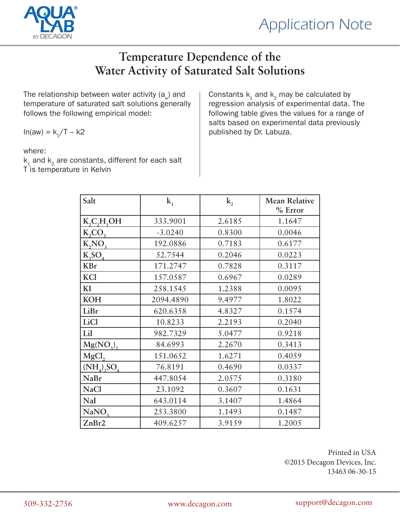



## **Temperature Dependence of the Water Activity of Saturated Salt Solutions**

The relationship between water activity  $(a_{\omega})$  and temperature of saturated salt solutions generally follows the following empirical model:

 $ln(aw) = k_{1}/T - k2$ 

where:

 $k_1$  and  $k_2$  are constants, different for each salt T is temperature in Kelvin

Constants  $k_1$  and  $k_2$  may be calculated by regression analysis of experimental data. The following table gives the values for a range of salts based on experimental data previously published by Dr. Labuza.

| Salt               | $k_{1}$   | $k_{2}$ | <b>Mean Relative</b><br>% Error |  |
|--------------------|-----------|---------|---------------------------------|--|
| K, C, H, OH        | 333.9001  | 2.6185  | 1.1647                          |  |
| $K_2CO_3$          | $-3.0240$ | 0.8300  | 0.0046                          |  |
| K, NO,             | 192.0886  | 0.7183  | 0.6177                          |  |
| K, SO <sub>4</sub> | 52.7544   | 0.2046  | 0.0223                          |  |
| <b>KBr</b>         | 171.2747  | 0.7828  | 0.3117                          |  |
| KCl                | 157.0587  | 0.6967  | 0.0289                          |  |
| KI                 | 258.1545  | 1.2388  | 0.0095                          |  |
| <b>KOH</b>         | 2094.4890 | 9.4977  | 1.8022                          |  |
| LiBr               | 620.6358  | 4.8327  | 0.1574                          |  |
| <b>LiCl</b>        | 10.8233   | 2.2193  | 0.2040                          |  |
| LiI                | 982.7329  | 5.0477  | 0.9218                          |  |
| $Mg(NO_3),$        | 84.6993   | 2.2670  | 0.3413                          |  |
| MgCl,              | 151.0652  | 1.6271  | 0.4059                          |  |
| $(NH_4)$ , $SO_4$  | 76.8191   | 0.4690  | 0.0337                          |  |
| <b>NaBr</b>        | 447.8054  | 2.0575  | 0.3180                          |  |
| <b>NaCl</b>        | 23.1092   | 0.3607  | 0.1631                          |  |
| NaI                | 643.0114  | 3.1407  | 1.4864                          |  |
| NaNO <sub>3</sub>  | 253.3800  | 1.1493  | 0.1487                          |  |
| ZnBr2              | 409.6257  | 3.9159  | 1.2005                          |  |

Printed in USA ©2015 Decagon Devices, Inc. 13463 06-30-15